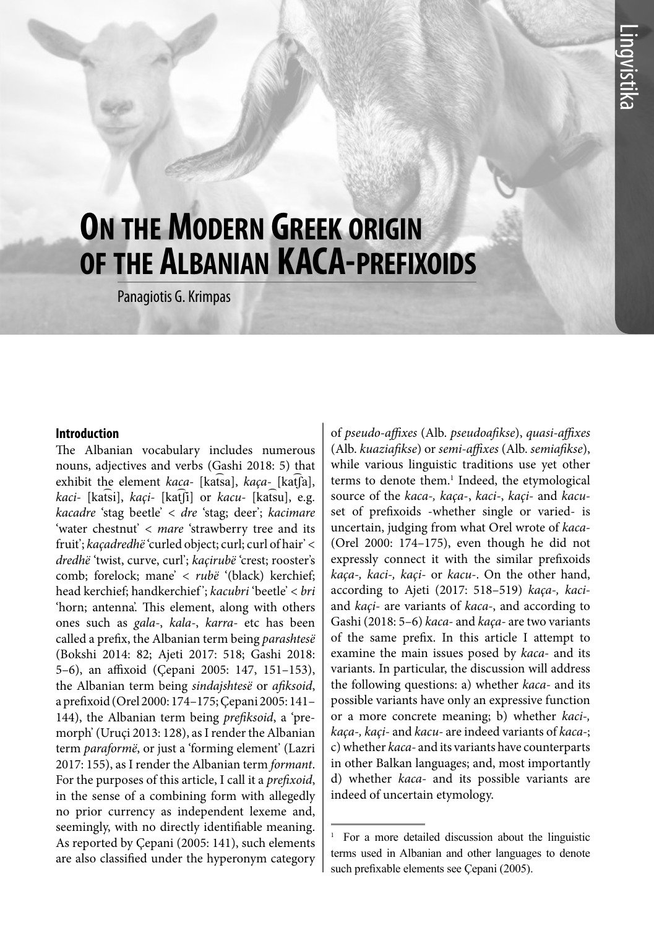# **On the Modern Greek origin of the Albanian KACA-prefixoids**

Panagiotis G. Krimpas

#### **Introduction**

The Albanian vocabulary includes numerous nouns, adjectives and verbs (Gashi 2018: 5) that exhibit the element *kaca-* [kat͡sa], *kaça-* [kat͡ʃa], *kaci-* [kat͡si], *kaçi-* [kat͡ʃi] or *kacu-* [kat͡su], e.g. *kacadre* 'stag beetle' < *dre* 'stag; deer'; *kacimare*  'water chestnut' < *mare* 'strawberry tree and its fruit'; *kaçadredhë* 'curled object; curl; curl of hair' < *dredhë* 'twist, curve, curl'; *kaçirubë* 'crest; rooster's comb; forelock; mane' < *rubë* '(black) kerchief; head kerchief; handkerchief '; *kacubri* 'beetle' < *bri*  'horn; antenna'. This element, along with others ones such as *gala-*, *kala-*, *karra-* etc has been called a prefix, the Albanian term being *parashtesë* (Bokshi 2014: 82; Ajeti 2017: 518; Gashi 2018: 5–6), an affixoid (Çepani 2005: 147, 151–153), the Albanian term being *sindajshtesë* or *afiksoid*, a prefixoid (Orel 2000: 174–175; Çepani 2005: 141– 144), the Albanian term being *prefiksoid*, a 'premorph' (Uruçi 2013: 128), as I render the Albanian term *paraformë*, or just a 'forming element' (Lazri 2017: 155), as I render the Albanian term *formant*. For the purposes of this article, I call it a *prefixoid*, in the sense of a combining form with allegedly no prior currency as independent lexeme and, seemingly, with no directly identifiable meaning. As reported by Çepani (2005: 141), such elements are also classified under the hyperonym category of *pseudo-affixes* (Alb. *pseudoafikse*), *quasi-affixes*  (Alb. *kuaziafikse*) or *semi-affixes* (Alb. *semiafikse*), while various linguistic traditions use yet other terms to denote them.<sup>1</sup> Indeed, the etymological source of the *kaca-, kaça*-, *kaci-*, *kaçi-* and *kacu*set of prefixoids -whether single or varied- is uncertain, judging from what Orel wrote of *kaca-*  (Orel 2000: 174–175), even though he did not expressly connect it with the similar prefixoids *kaça-, kaci-, kaçi-* or *kacu-*. On the other hand, according to Ajeti (2017: 518–519) *kaça-, kaci*and *kaçi-* are variants of *kaca-*, and according to Gashi (2018: 5–6) *kaca-* and *kaça-* are two variants of the same prefix. In this article I attempt to examine the main issues posed by *kaca-* and its variants. In particular, the discussion will address the following questions: a) whether *kaca-* and its possible variants have only an expressive function or a more concrete meaning; b) whether *kaci-, kaça-, kaçi-* and *kacu-* are indeed variants of *kaca-*; c) whether *kaca-* and its variants have counterparts in other Balkan languages; and, most importantly d) whether *kaca-* and its possible variants are indeed of uncertain etymology.

<sup>1</sup> For a more detailed discussion about the linguistic terms used in Albanian and other languages to denote such prefixable elements see Çepani (2005).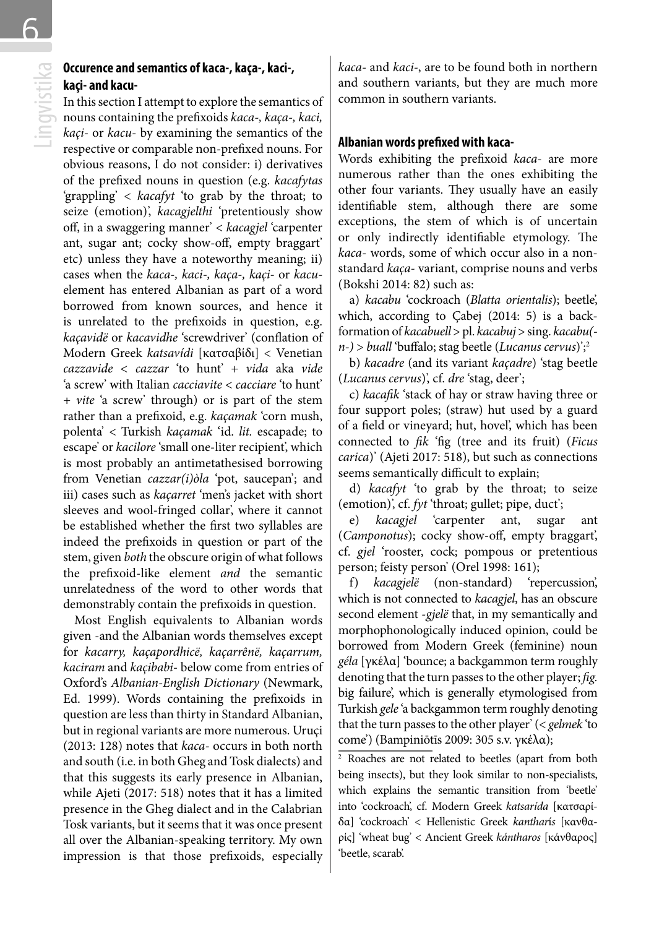6

## **kaçi- and kacu-**

**Cocurence and semantics of kaca-, kaça-, kaci-,<br>
<b>kaçi- and kacu-**<br>
In this section I attempt to explore the semantics of<br>
nouns containing the prefixoids *kaca-*, *kaça-*, *kaci*,<br> *kaçi-* or *kacu*- by examining the sem In this section I attempt to explore the semantics of nouns containing the prefixoids *kaca-, kaça-, kaci,*  respective or comparable non-prefixed nouns. For obvious reasons, I do not consider: i) derivatives of the prefixed nouns in question (e.g. *kacafytas*  'grappling' < *kacafyt* 'to grab by the throat; to seize (emotion)', *kacagjelthi* 'pretentiously show off, in a swaggering manner' < *kacagjel* 'carpenter ant, sugar ant; cocky show-off, empty braggart' etc) unless they have a noteworthy meaning; ii) cases when the *kaca-, kaci-, kaça-, kaçi-* or *kacu*element has entered Albanian as part of a word borrowed from known sources, and hence it is unrelated to the prefixoids in question, e.g. *kaçavidë* or *kacavidhe* 'screwdriver' (conflation of Modern Greek *katsavídi* [κατσαβίδι] < Venetian *cazzavide < cazzar* 'to hunt' + *vida* aka *vide*  'a screw' with Italian *cacciavite* < *cacciare* 'to hunt' + *vite* 'a screw' through) or is part of the stem rather than a prefixoid, e.g. *kaçamak* 'corn mush, polenta' < Turkish *kaçamak* 'id. *lit.* escapade; to escape' or *kacilore* 'small one-liter recipient', which is most probably an antimetathesised borrowing from Venetian *cazzar(i)òla* 'pot, saucepan'; and iii) cases such as *kaçarret* 'men's jacket with short sleeves and wool-fringed collar', where it cannot be established whether the first two syllables are indeed the prefixoids in question or part of the stem, given *both* the obscure origin of what follows the prefixoid-like element *and* the semantic unrelatedness of the word to other words that demonstrably contain the prefixoids in question.

Most English equivalents to Albanian words given -and the Albanian words themselves except for *kacarry, kaçapordhicë, kaçarrênë, kaçarrum, kaciram* and *kaçibabi*- below come from entries of Oxford's *Albanian-English Dictionary* (Newmark, Ed. 1999). Words containing the prefixoids in question are less than thirty in Standard Albanian, but in regional variants are more numerous. Uruçi (2013: 128) notes that *kaca-* occurs in both north and south (i.e. in both Gheg and Tosk dialects) and that this suggests its early presence in Albanian, while Ajeti (2017: 518) notes that it has a limited presence in the Gheg dialect and in the Calabrian Tosk variants, but it seems that it was once present all over the Albanian-speaking territory. My own impression is that those prefixoids, especially

*kaca-* and *kaci-*, are to be found both in northern and southern variants, but they are much more common in southern variants.

#### **Albanian words prefixed with kaca-**

Words exhibiting the prefixoid *kaca*- are more numerous rather than the ones exhibiting the other four variants. They usually have an easily identifiable stem, although there are some exceptions, the stem of which is of uncertain or only indirectly identifiable etymology. The *kaca*- words, some of which occur also in a nonstandard *kaça*- variant, comprise nouns and verbs (Bokshi 2014: 82) such as:

a) *kacabu* 'cockroach (*Blatta orientalis*); beetle', which, according to Çabej (2014: 5) is a backformation of *kacabuell* > pl. *kacabuj* > sing. *kacabu( n-)* > *buall* 'buffalo; stag beetle (*Lucanus cervus*)';2

b) *kacadre* (and its variant *kaçadre*) 'stag beetle (*Lucanus cervus*)', cf. *dre* 'stag, deer';

c) *kacafik* 'stack of hay or straw having three or four support poles; (straw) hut used by a guard of a field or vineyard; hut, hovel', which has been connected to *fik* 'fig (tree and its fruit) (*Ficus carica*)' (Ajeti 2017: 518), but such as connections seems semantically difficult to explain;

d) *kacafyt* 'to grab by the throat; to seize (emotion)', cf. *fyt* 'throat; gullet; pipe, duct';

e) *kacagjel* 'carpenter ant, sugar ant (*Camponotus*); cocky show-off, empty braggart', cf. *gjel* 'rooster, cock; pompous or pretentious person; feisty person' (Orel 1998: 161);

f) *kacagjelë* (non-standard) 'repercussion', which is not connected to *kacagjel*, has an obscure second element -*gjelë* that, in my semantically and morphophonologically induced opinion, could be borrowed from Modern Greek (feminine) noun *géla* [γκέλα] 'bounce; a backgammon term roughly denoting that the turn passes to the other player; *fig.*  big failure', which is generally etymologised from Turkish *gele* 'a backgammon term roughly denoting that the turn passes to the other player' (< *gelmek* 'to come') (Bampiniōtīs 2009: 305 s.v. γκέλα);

<sup>2</sup> Roaches are not related to beetles (apart from both being insects), but they look similar to non-specialists, which explains the semantic transition from 'beetle' into 'cockroach', cf. Modern Greek *katsarída* [κατσαρίδα] 'cockroach' < Hellenistic Greek *kanthar*í*s* [κανθαρίς] 'wheat bug' < Ancient Greek *kántharos* [κάνθαρος] 'beetle, scarab'.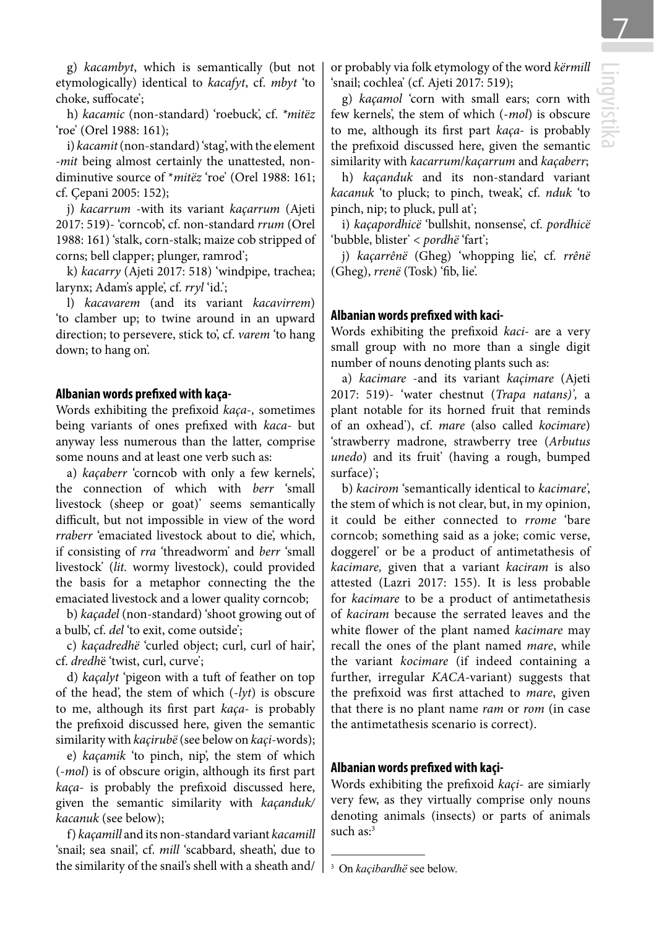g) *kacambyt*, which is semantically (but not etymologically) identical to *kacafyt*, cf. *mbyt* 'to choke, suffocate';

h) *kacamic* (non-standard) 'roebuck', cf. *\*mitëz* 'roe' (Orel 1988: 161);

i) *kacamit* (non-standard) 'stag', with the element *-mit* being almost certainly the unattested, nondiminutive source of \**mitëz* 'roe' (Orel 1988: 161; cf. Çepani 2005: 152);

j) *kacarrum* -with its variant *kaçarrum* (Ajeti 2017: 519)- 'corncob', cf. non-standard *rrum* (Orel 1988: 161) 'stalk, corn-stalk; maize cob stripped of corns; bell clapper; plunger, ramrod';

k) *kacarry* (Ajeti 2017: 518) 'windpipe, trachea; larynx; Adam's apple', cf. *rryl* 'id.';

l) *kacavarem* (and its variant *kacavirrem*) 'to clamber up; to twine around in an upward direction; to persevere, stick to', cf. *varem* 'to hang down; to hang on'.

#### **Albanian words prefixed with kaça-**

Words exhibiting the prefixoid *kaça*-*,* sometimes being variants of ones prefixed with *kaca-* but anyway less numerous than the latter, comprise some nouns and at least one verb such as:

a) *kaçaberr* 'corncob with only a few kernels', the connection of which with *berr* 'small livestock (sheep or goat)' seems semantically difficult, but not impossible in view of the word *rraberr* 'emaciated livestock about to die', which, if consisting of *rra* 'threadworm' and *berr* 'small livestock' (*lit.* wormy livestock), could provided the basis for a metaphor connecting the the emaciated livestock and a lower quality corncob;

b) *kaçadel* (non-standard) 'shoot growing out of a bulb', cf. *del* 'to exit, come outside';

c) *kaçadredhë* 'curled object; curl, curl of hair', cf. *dredh*ë 'twist, curl, curve';

d) *kaçalyt* 'pigeon with a tuft of feather on top of the head', the stem of which (-*lyt*) is obscure to me, although its first part *kaça-* is probably the prefixoid discussed here, given the semantic similarity with *kaçirubë* (see below on *kaçi*-words);

e) *kaçamik* 'to pinch, nip', the stem of which (-*mol*) is of obscure origin, although its first part *kaça-* is probably the prefixoid discussed here, given the semantic similarity with *kaçanduk/ kacanuk* (see below);

f) *kaçamill* and its non-standard variant *kacamill*  'snail; sea snail', cf. *mill* 'scabbard, sheath', due to the similarity of the snail's shell with a sheath and/ or probably via folk etymology of the word *kërmill*  'snail; cochlea' (cf. Ajeti 2017: 519);

g) *kaçamol* 'corn with small ears; corn with few kernels', the stem of which (-*mol*) is obscure to me, although its first part *kaça-* is probably the prefixoid discussed here, given the semantic similarity with *kacarrum*/*kaçarrum* and *kaçaberr*;

h) *kaçanduk* and its non-standard variant *kacanuk* 'to pluck; to pinch, tweak', cf. *nduk* 'to pinch, nip; to pluck, pull at';

i) *kaçapordhicë* 'bullshit, nonsense', cf. *pordhicë* 'bubble, blister' < *pordhë* 'fart';

j) *kaçarrênë* (Gheg) 'whopping lie', cf. *rrênë*  (Gheg), *rrenë* (Tosk) 'fib, lie'.

#### **Albanian words prefixed with kaci-**

Words exhibiting the prefixoid *kaci*- are a very small group with no more than a single digit number of nouns denoting plants such as:

a) *kacimare* -and its variant *kaçimare* (Ajeti 2017: 519)- 'water chestnut (*Trapa natans)',* a plant notable for its horned fruit that reminds of an oxhead'), cf. *mare* (also called *kocimare*) 'strawberry madrone, strawberry tree (*Arbutus unedo*) and its fruit' (having a rough, bumped surface)';

b) *kacirom* 'semantically identical to *kacimare*', the stem of which is not clear, but, in my opinion, it could be either connected to *rrome* 'bare corncob; something said as a joke; comic verse, doggerel' or be a product of antimetathesis of *kacimare,* given that a variant *kaciram* is also attested (Lazri 2017: 155). It is less probable for *kacimare* to be a product of antimetathesis of *kaciram* because the serrated leaves and the white flower of the plant named *kacimare* may recall the ones of the plant named *mare*, while the variant *kocimare* (if indeed containing a further, irregular *KACA-*variant) suggests that the prefixoid was first attached to *mare*, given that there is no plant name *ram* or *rom* (in case the antimetathesis scenario is correct).

#### **Albanian words prefixed with kaçi-**

Words exhibiting the prefixoid *kaçi*- are simiarly very few, as they virtually comprise only nouns denoting animals (insects) or parts of animals such as:<sup>3</sup>

<sup>3</sup> On *kaçibardhë* see below.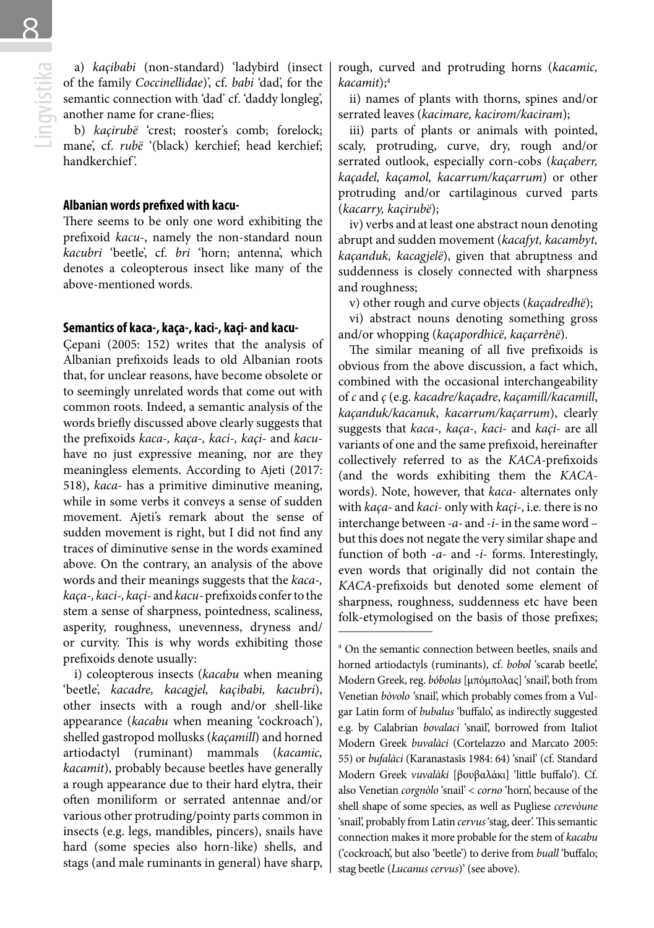8

a) *kaçibabi* (non-standard) 'ladybird (insect<br>of the family *Coccinellidae*)', cf. *babi* 'dad', for the<br>semantic connection with 'dad' cf. 'daddy longleg',<br>another name for crane-flies;<br>b) *kaçirubë* 'crest; rooster's co of the family *Coccinellidae*)', cf. *babi* 'dad', for the semantic connection with 'dad' cf. 'daddy longleg', another name for crane-flies;

b) *kaçirubë* 'crest; rooster's comb; forelock; mane', cf. *rubë* '(black) kerchief; head kerchief; handkerchief '.

#### **Albanian words prefixed with kacu-**

There seems to be only one word exhibiting the prefixoid *kacu-*, namely the non-standard noun *kacubri* 'beetle', cf. *bri* 'horn; antenna', which denotes a coleopterous insect like many of the above-mentioned words.

#### **Semantics of kaca-, kaça-, kaci-, kaçi- and kacu-**

Çepani (2005: 152) writes that the analysis of Albanian prefixoids leads to old Albanian roots that, for unclear reasons, have become obsolete or to seemingly unrelated words that come out with common roots. Indeed, a semantic analysis of the words briefly discussed above clearly suggests that the prefixoids *kaca-, kaça-, kaci-, kaçi-* and *kacu*have no just expressive meaning, nor are they meaningless elements. According to Ajeti (2017: 518), *kaca-* has a primitive diminutive meaning, while in some verbs it conveys a sense of sudden movement. Ajeti's remark about the sense of sudden movement is right, but I did not find any traces of diminutive sense in the words examined above. On the contrary, an analysis of the above words and their meanings suggests that the *kaca-, kaça-, kaci-, kaçi-* and *kacu-* prefixoids confer to the stem a sense of sharpness, pointedness, scaliness, asperity, roughness, unevenness, dryness and/ or curvity. This is why words exhibiting those prefixoids denote usually:

i) coleopterous insects (*kacabu* when meaning 'beetle', *kacadre, kacagjel, kaçibabi, kacubri*), other insects with a rough and/or shell-like appearance (*kacabu* when meaning 'cockroach'), shelled gastropod mollusks (*kaçamill*) and horned artiodactyl (ruminant) mammals (*kacamic, kacamit*), probably because beetles have generally a rough appearance due to their hard elytra, their often moniliform or serrated antennae and/or various other protruding/pointy parts common in insects (e.g. legs, mandibles, pincers), snails have hard (some species also horn-like) shells, and stags (and male ruminants in general) have sharp, rough, curved and protruding horns (*kacamic, kacamit*);4

ii) names of plants with thorns, spines and/or serrated leaves (*kacimare, kacirom/kaciram*);

iii) parts of plants or animals with pointed, scaly, protruding, curve, dry, rough and/or serrated outlook, especially corn-cobs (*kaçaberr, kaçadel, kaçamol, kacarrum/kaçarrum*) or other protruding and/or cartilaginous curved parts (*kacarry, kaçirubë*);

iv) verbs and at least one abstract noun denoting abrupt and sudden movement (*kacafyt, kacambyt, kaçanduk, kacagjelë*), given that abruptness and suddenness is closely connected with sharpness and roughness;

v) other rough and curve objects (*kaçadredhë*);

vi) abstract nouns denoting something gross and/or whopping (*kaçapordhicë, kaçarrênë*).

The similar meaning of all five prefixoids is obvious from the above discussion, a fact which, combined with the occasional interchangeability of *c* and *ç* (e.g. *kacadre/kaçadre*, *kaçamill/kacamill*, *kaçanduk/kacanuk*, *kacarrum/kaçarrum*), clearly suggests that *kaca-, kaça-, kaci-* and *kaçi-* are all variants of one and the same prefixoid, hereinafter collectively referred to as the *KACA-*prefixoids (and the words exhibiting them the *KACA*words). Note, however, that *kaca-* alternates only with *kaça-* and *kaci-* only with *kaçi-*, i.e. there is no interchange between *-a-* and *-i-* in the same word – but this does not negate the very similar shape and function of both *-a-* and *-i-* forms. Interestingly, even words that originally did not contain the *KACA-*prefixoids but denoted some element of sharpness, roughness, suddenness etc have been folk-etymologised on the basis of those prefixes;

<sup>4</sup> On the semantic connection between beetles, snails and horned artiodactyls (ruminants), cf. *bobol* 'scarab beetle', Modern Greek, reg. *bóbolas* [μπόμπολας] 'snail', both from Venetian *bòvolo '*snail', which probably comes from a Vulgar Latin form of *bubalus* 'buffalo', as indirectly suggested e.g. by Calabrian *bovalaci* 'snail', borrowed from Italiot Modern Greek *buvalàci* (Cortelazzo and Marcato 2005: 55) or *bufalàci* (Karanastasīs 1984: 64) 'snail' (cf. Standard Modern Greek *vuvalàki* [βουβαλάκι] 'little buffalo'). Cf. also Venetian *corgnòlo* 'snail' < *corno* 'horn', because of the shell shape of some species, as well as Pugliese *cerevòune* 'snail', probably from Latin *cervus* 'stag, deer'. This semantic connection makes it more probable for the stem of *kacabu* ('cockroach', but also 'beetle') to derive from *buall* 'buffalo; stag beetle (*Lucanus cervus*)' (see above).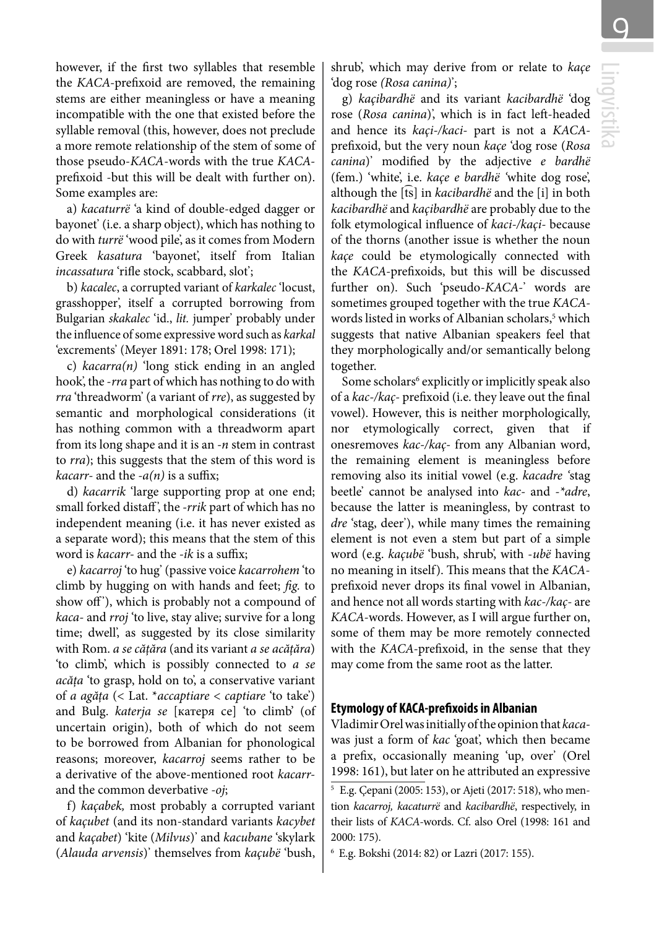however, if the first two syllables that resemble the *KACA-*prefixoid are removed, the remaining stems are either meaningless or have a meaning incompatible with the one that existed before the syllable removal (this, however, does not preclude a more remote relationship of the stem of some of those pseudo-*KACA*-words with the true *KACA*prefixoid -but this will be dealt with further on). Some examples are:

a) *kacaturrë* 'a kind of double-edged dagger or bayonet' (i.e. a sharp object), which has nothing to do with *turrë* 'wood pile', as it comes from Modern Greek *kasatura* 'bayonet', itself from Italian *incassatura* 'rifle stock, scabbard, slot';

b) *kacalec*, a corrupted variant of *karkalec* 'locust, grasshopper', itself a corrupted borrowing from Bulgarian *skakalec* 'id., *lit.* jumper' probably under the influence of some expressive word such as *karkal* 'excrements' (Meyer 1891: 178; Orel 1998: 171);

c) *kacarra(n)* 'long stick ending in an angled hook', the -*rra* part of which has nothing to do with *rra* 'threadworm' (a variant of *rre*), as suggested by semantic and morphological considerations (it has nothing common with a threadworm apart from its long shape and it is an *-n* stem in contrast to *rra*); this suggests that the stem of this word is *kacarr-* and the *-a(n)* is a suffix;

d) *kacarrik* 'large supporting prop at one end; small forked distaff ', the *-rrik* part of which has no independent meaning (i.e. it has never existed as a separate word); this means that the stem of this word is *kacarr-* and the *-ik* is a suffix;

e) *kacarroj* 'to hug' (passive voice *kacarrohem* 'to climb by hugging on with hands and feet; *fig.* to show off'), which is probably not a compound of *kaca-* and *rroj* 'to live, stay alive; survive for a long time; dwell', as suggested by its close similarity with Rom. *a se cățăra* (and its variant *a se acățăra*) 'to climb', which is possibly connected to *a se acăța* 'to grasp, hold on to', a conservative variant of *a agăța* (< Lat. \**accaptiare* < *captiare* 'to take') and Bulg. *katerja se* [катеря се] 'to climb' (of uncertain origin), both of which do not seem to be borrowed from Albanian for phonological reasons; moreover, *kacarroj* seems rather to be a derivative of the above-mentioned root *kacarr*and the common deverbative *-oj*;

f) *kaçabek,* most probably a corrupted variant of *kaçubet* (and its non-standard variants *kacybet*  and *kaçabet*) 'kite (*Milvus*)' and *kacubane* 'skylark (*Alauda arvensis*)' themselves from *kaçubë* 'bush,

shrub', which may derive from or relate to *kaçe*  'dog rose *(Rosa canina)*';

g) *kaçibardhë* and its variant *kacibardhë* 'dog rose (*Rosa canina*)', which is in fact left-headed and hence its *kaçi-/kaci-* part is not a *KACA*prefixoid, but the very noun *kaçe* 'dog rose (*Rosa canina*)' modified by the adjective *e bardhë*  (fem.) 'white', i.e. *kaçe e bardhë '*white dog rose', although the [͡ts] in *kacibardhë* and the [i] in both *kacibardhë* and *kaçibardhë* are probably due to the folk etymological influence of *kaci-/kaçi-* because of the thorns (another issue is whether the noun *kaçe* could be etymologically connected with the *KACA-*prefixoids, but this will be discussed further on). Such 'pseudo-*KACA-*' words are sometimes grouped together with the true *KACA*words listed in works of Albanian scholars,<sup>5</sup> which suggests that native Albanian speakers feel that they morphologically and/or semantically belong together.

Some scholars<sup>6</sup> explicitly or implicitly speak also of a *kac-/kaç-* prefixoid (i.e. they leave out the final vowel). However, this is neither morphologically, nor etymologically correct, given that if onesremoves *kac-/kaç-* from any Albanian word, the remaining element is meaningless before removing also its initial vowel (e.g. *kacadre '*stag beetle' cannot be analysed into *kac-* and *-\*adre*, because the latter is meaningless, by contrast to *dre* 'stag, deer'), while many times the remaining element is not even a stem but part of a simple word (e.g. *kaçubë* 'bush, shrub', with -*ubë* having no meaning in itself). This means that the *KACA*prefixoid never drops its final vowel in Albanian, and hence not all words starting with *kac-/kaç-* are *KACA-*words. However, as I will argue further on, some of them may be more remotely connected with the *KACA-*prefixoid, in the sense that they may come from the same root as the latter.

#### **Etymology of KACA-prefixoids in Albanian**

Vladimir Orel was initially of the opinion that *kaca*was just a form of *kac* 'goat', which then became a prefix, occasionally meaning 'up, over' (Orel 1998: 161), but later on he attributed an expressive

<sup>6</sup> E.g. Bokshi (2014: 82) or Lazri (2017: 155).

<sup>5</sup> E.g. Çepani (2005: 153), or Ajeti (2017: 518), who mention *kacarroj, kacaturrë* and *kacibardhë*, respectively, in their lists of *KACA-*words. Cf. also Orel (1998: 161 and 2000: 175).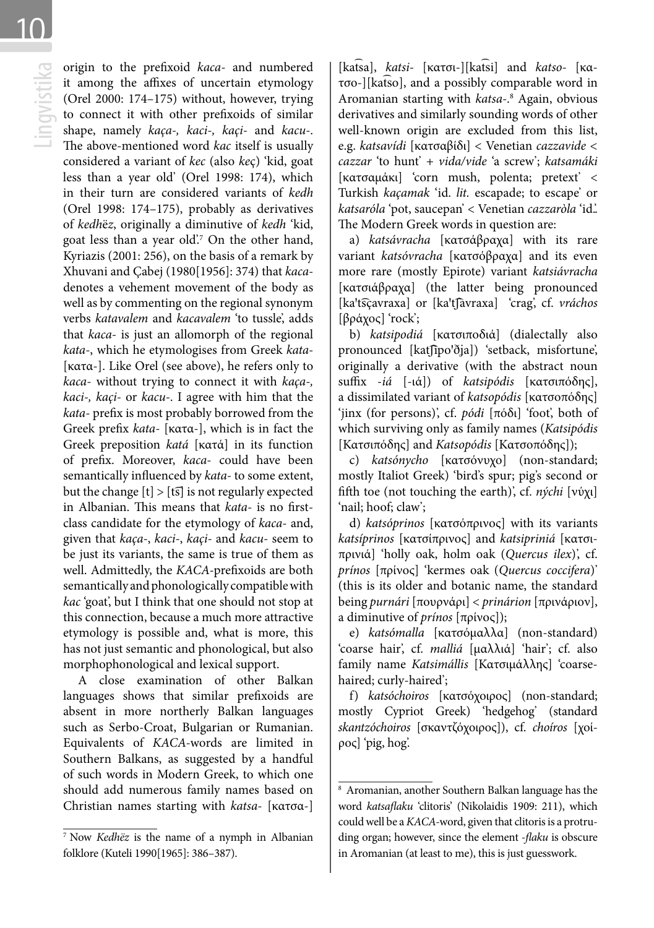origin to the prefixoid *kaca*- and numbered<br>it among the affixes of uncertain etymology<br>(Orel 2000: 174–175) without, however, trying<br>to connect it with other prefixoids of similar<br>shape, namely *kaça-, kaci-, kaçi-* and it among the affixes of uncertain etymology (Orel 2000: 174–175) without, however, trying to connect it with other prefixoids of similar shape, namely *kaça-, kaci-, kaçi-* and *kacu-*. The above-mentioned word *kac* itself is usually considered a variant of *kec* (also *ke*ç) 'kid, goat less than a year old' (Orel 1998: 174), which in their turn are considered variants of *kedh*  (Orel 1998: 174–175), probably as derivatives of *kedh*ë*z*, originally a diminutive of *kedh* 'kid, goat less than a year old'.7 On the other hand, Kyriazis (2001: 256), on the basis of a remark by Xhuvani and Çabej (1980[1956]: 374) that *kaca*denotes a vehement movement of the body as well as by commenting on the regional synonym verbs *katavalem* and *kacavalem* 'to tussle', adds that *kaca-* is just an allomorph of the regional *kata-*, which he etymologises from Greek *kata-*  [κατα-]. Like Orel (see above), he refers only to *kaca-* without trying to connect it with *kaça-, kaci-, kaçi-* or *kacu-*. I agree with him that the *kata-* prefix is most probably borrowed from the Greek prefix *kata-* [κατα-], which is in fact the Greek preposition *katá* [κατά] in its function of prefix. Moreover, *kaca-* could have been semantically influenced by *kata-* to some extent, but the change  $[t] > [t\overline{s}]$  is not regularly expected in Albanian. This means that *kata-* is no firstclass candidate for the etymology of *kaca-* and, given that *kaça-*, *kaci-*, *kaçi-* and *kacu-* seem to be just its variants, the same is true of them as well. Admittedly, the *KACA-*prefixoids are both semantically and phonologically compatible with *kac* 'goat', but I think that one should not stop at this connection, because a much more attractive etymology is possible and, what is more, this has not just semantic and phonological, but also morphophonological and lexical support.

A close examination of other Balkan languages shows that similar prefixoids are absent in more northerly Balkan languages such as Serbo-Croat, Bulgarian or Rumanian. Equivalents of *KACA-*words are limited in Southern Balkans, as suggested by a handful of such words in Modern Greek, to which one should add numerous family names based on Christian names starting with *katsa-* [κατσα-]

[ka͡tsa], *katsi-* [κατσι-][ka͡tsi] and *katso-* [κατσο-][ka͡tso], and a possibly comparable word in Aromanian starting with *katsa-*. 8 Again, obvious derivatives and similarly sounding words of other well-known origin are excluded from this list, e.g. *katsavídi* [κατσαβίδι] < Venetian *cazzavide < cazzar* 'to hunt' + *vida/vide* 'a screw'; *katsamáki*  [κατσαμάκι] 'corn mush, polenta; pretext' < Turkish *kaçamak* 'id. *lit.* escapade; to escape' or *katsaróla* 'pot, saucepan' < Venetian *cazzaròla* 'id.'. The Modern Greek words in question are:

a) *katsávracha* [κατσάβραχα] with its rare variant *katsóvracha* [κατσόβραχα] and its even more rare (mostly Epirote) variant *katsiávracha* [κατσιάβραχα] (the latter being pronounced [ka't͡sçavraxa] or [ka'tfavraxa] 'crag', cf. vráchos [βράχος] 'rock';

b) *katsipodiá* [κατσιποδιά] (dialectally also pronounced [katfipo'ðja]) 'setback, misfortune', originally a derivative (with the abstract noun suffix -*iá* [-ιά]) of *katsipódis* [κατσιπόδης], a dissimilated variant of *katsopódis* [κατσοπόδης] 'jinx (for persons)', cf. *pódi* [πόδι] 'foot', both of which surviving only as family names (*Katsipódis*  [Κατσιπόδης] and *Katsopódis* [Κατσοπόδης]);

c) *katsónycho* [κατσόνυχο] (non-standard; mostly Italiot Greek) 'bird's spur; pig's second or fifth toe (not touching the earth)', cf. *nýchi* [νύχι] 'nail; hoof; claw';

d) *katsóprinos* [κατσόπρινος] with its variants *katsíprinos* [κατσίπρινος] and *katsipriniá* [κατσιπρινιά] 'holly oak, holm oak (*Quercus ilex*)', cf. *prínos* [πρίνος] 'kermes oak (*Quercus coccifera*)' (this is its older and botanic name, the standard being *purnári* [πουρνάρι] < *prinárion* [πρινάριον], a diminutive of *prínos* [πρίνος]);

e) *katsómalla* [κατσόμαλλα] (non-standard) 'coarse hair', cf. *malliá* [μαλλιά] 'hair'; cf. also family name *Katsimállis* [Κατσιμάλλης] 'coarsehaired; curly-haired';

f) *katsóchoiros* [κατσόχοιρος] (non-standard; mostly Cypriot Greek) 'hedgehog' (standard *skantzóchoiros* [σκαντζόχοιρος]), cf. *choíros* [χοίρος] 'pig, hog'.

<sup>7</sup> Now *Kedhëz* is the name of a nymph in Albanian folklore (Kuteli 1990[1965]: 386–387).

<sup>8</sup> Aromanian, another Southern Balkan language has the word *katsaflaku* 'clitoris' (Nikolaidis 1909: 211), which could well be a *KACA-*word, given that clitoris is a protruding organ; however, since the element *-flaku* is obscure in Aromanian (at least to me), this is just guesswork.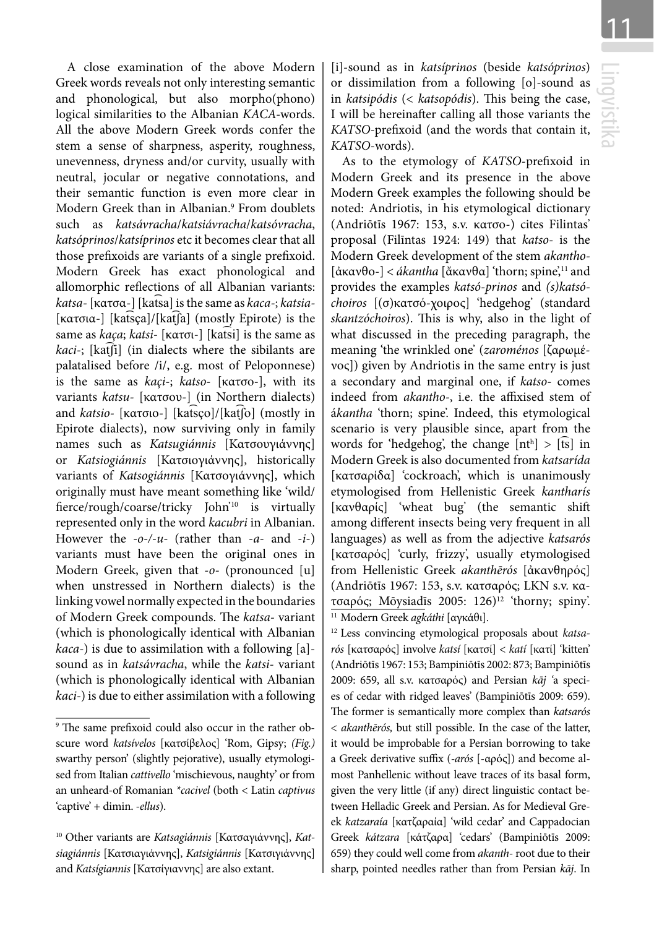A close examination of the above Modern Greek words reveals not only interesting semantic and phonological, but also morpho(phono) logical similarities to the Albanian *KACA-*words. All the above Modern Greek words confer the stem a sense of sharpness, asperity, roughness, unevenness, dryness and/or curvity, usually with neutral, jocular or negative connotations, and their semantic function is even more clear in Modern Greek than in Albanian.9 From doublets such as *katsávracha*/*katsiávracha*/*katsóvracha*, *katsóprinos*/*katsíprinos* etc it becomes clear that all those prefixoids are variants of a single prefixoid. Modern Greek has exact phonological and allomorphic reflections of all Albanian variants: *katsa-* [κατσα-] [kat͡sa] is the same as *kaca-*; *katsia-*  [κατσια-] [kat͡sça]/[kat͡ʃa] (mostly Epirote) is the same as *kaça*; *katsi-* [κατσι-] [kat͡si] is the same as *kaci*-; [katfi] (in dialects where the sibilants are palatalised before /i/, e.g. most of Peloponnese) is the same as *kaçi-*; *katso-* [κατσο-], with its variants *katsu-* [κατσου-] (in Northern dialects) and *katsio-* [κατσιο-] [kat͡sço]/[kat͡ʃo] (mostly in Epirote dialects), now surviving only in family names such as *Katsugiánnis* [Κατσουγιάννης] or *Katsiogiánnis* [Κατσιογιάννης], historically variants of *Katsogiánnis* [Κατσογιάννης], which originally must have meant something like 'wild/ fierce/rough/coarse/tricky John'10 is virtually represented only in the word *kacubri* in Albanian. However the *-o-/-u-* (rather than -*a*- and -*i*-) variants must have been the original ones in Modern Greek, given that -*o*- (pronounced [u] when unstressed in Northern dialects) is the linking vowel normally expected in the boundaries of Modern Greek compounds. The *katsa-* variant (which is phonologically identical with Albanian *kaca-*) is due to assimilation with a following [a] sound as in *katsávracha*, while the *katsi-* variant (which is phonologically identical with Albanian *kaci-*) is due to either assimilation with a following

[i]-sound as in *katsíprinos* (beside *katsóprinos*) or dissimilation from a following [o]-sound as in *katsipódis* (< *katsopódis*). This being the case, I will be hereinafter calling all those variants the *KATSO-*prefixoid (and the words that contain it, *KATSO*-words).

As to the etymology of *KATSO*-prefixoid in Modern Greek and its presence in the above Modern Greek examples the following should be noted: Andriotis, in his etymological dictionary (Andriōtīs 1967: 153, s.v. κατσο-) cites Filintas' proposal (Filīntas 1924: 149) that *katso-* is the Modern Greek development of the stem *akantho-*  [ἀκανθο-] < *ákantha* [ἄκανθα] 'thorn; spine',11 and provides the examples *katsó-prinos* and *(s)katsóchoiros* [(σ)κατσό-χοιρος] 'hedgehog' (standard *skantzóchoiros*). This is why, also in the light of what discussed in the preceding paragraph, the meaning 'the wrinkled one' (*zaroménos* [ζαρωμένος]) given by Andriotis in the same entry is just a secondary and marginal one, if *katso-* comes indeed from *akantho-*, i.e. the affixised stem of á*kantha* 'thorn; spine'. Indeed, this etymological scenario is very plausible since, apart from the words for 'hedgehog', the change  $[nt<sup>h</sup>] > [ts]$  in Modern Greek is also documented from *katsarída*  [κατσαρίδα] 'cockroach', which is unanimously etymologised from Hellenistic Greek *kantharís*  [κανθαρίς] 'wheat bug' (the semantic shift among different insects being very frequent in all languages) as well as from the adjective *katsarós*  [κατσαρός] 'curly, frizzy', usually etymologised from Hellenistic Greek *akanthērós* [ἀκανθηρός] (Andriōtīs 1967: 153, s.v. κατσαρός; LKN s.v. κατσαρός; Mōysiadīs 2005: 126)12 'thorny; spiny'. 11 Modern Greek *agkáthi* [αγκάθι].

<sup>12</sup> Less convincing etymological proposals about *katsarós* [κατσαρός] involve *katsí* [κατσί] < *katí* [κατί] 'kitten' (Andriōtīs 1967: 153; Bampiniōtīs 2002: 873; Bampiniōtīs 2009: 659, all s.v. κατσαρός) and Persian *kāj '*a species of cedar with ridged leaves' (Bampiniōtīs 2009: 659). The former is semantically more complex than *katsarós* < *akanthērós,* but still possible. In the case of the latter, it would be improbable for a Persian borrowing to take a Greek derivative suffix (*-arós* [-αρός]) and become almost Panhellenic without leave traces of its basal form, given the very little (if any) direct linguistic contact between Helladic Greek and Persian. As for Medieval Greek *katzaraía* [κατζαραία] 'wild cedar' and Cappadocian Greek *kátzara* [κάτζαρα] 'cedars' (Bampiniōtīs 2009: 659) they could well come from *akanth-* root due to their sharp, pointed needles rather than from Persian *kāj*. In

<sup>9</sup> The same prefixoid could also occur in the rather obscure word *katsívelos* [κατσίβελος] 'Rom, Gipsy; *(Fig.)* swarthy person' (slightly pejorative), usually etymologised from Italian *cattivello* 'mischievous, naughty' or from an unheard-of Romanian *\*cacivel* (both < Latin *captivus*  'captive' + dimin. *-ellus*).

<sup>&</sup>lt;sup>10</sup> Other variants are *Katsagiánnis* [Κατσαγιάννης], Kat*siagiánnis* [Κατσιαγιάννης], *Katsigiánnis* [Κατσιγιάννης] and *Katsígiannis* [Κατσίγιαννης] are also extant.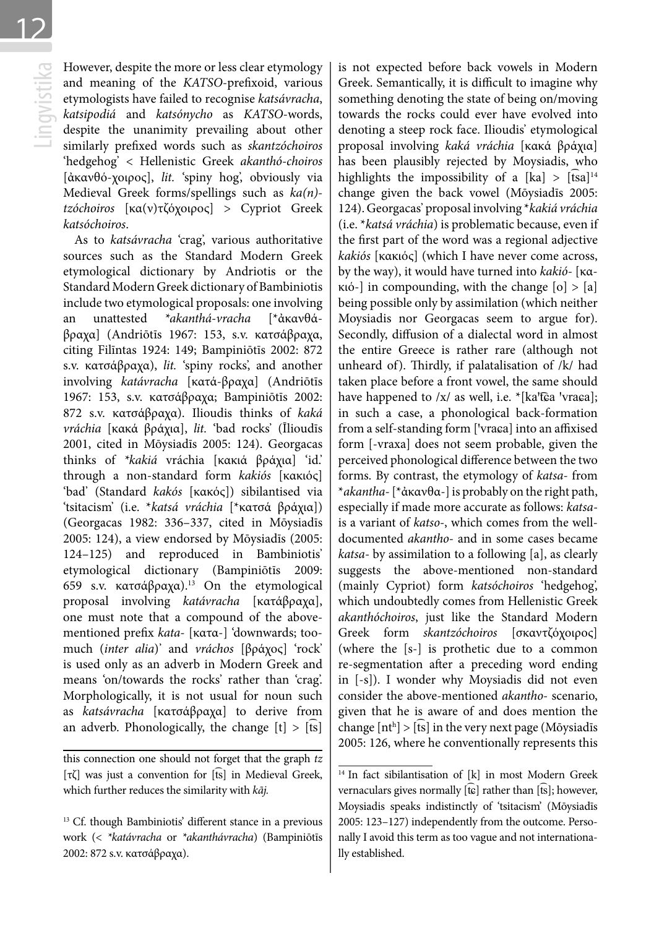12

However, despite the more or less clear etymology<br>and meaning of the *KATSO-prefixoid*, various<br>etymologists have failed to recognise *katsávracha*,<br>*katsipodiá* and *katsónycho* as *KATSO-words*,<br>despite the unanimity pre and meaning of the *KATSO*-prefixoid, various etymologists have failed to recognise *katsávracha*, *katsipodiá* and *katsónycho* as *KATSO*-words, despite the unanimity prevailing about other similarly prefixed words such as *skantzóchoiros* 'hedgehog' < Hellenistic Greek *akanthó-choiros*  [ἀκανθό-χοιρος], *lit.* 'spiny hog', obviously via Medieval Greek forms/spellings such as *ka(n) tzóchoiros* [κα(ν)τζόχοιρος] > Cypriot Greek *katsóchoiros*.

As to *katsávracha* 'crag', various authoritative sources such as the Standard Modern Greek etymological dictionary by Andriotis or the Standard Modern Greek dictionary of Bambiniotis include two etymological proposals: one involving an unattested *\*akanthá-vracha* [\*ἀκανθάβραχα] (Andriōtīs 1967: 153, s.v. κατσάβραχα, citing Filīntas 1924: 149; Bampiniōtīs 2002: 872 s.v. κατσάβραχα), *lit.* 'spiny rocks', and another involving *katávracha* [κατά-βραχα] (Andriōtīs 1967: 153, s.v. κατσάβραχα; Bampiniōtīs 2002: 872 s.v. κατσάβραχα). Ilioudis thinks of *kaká vráchia* [κακά βράχια], *lit.* 'bad rocks' (Īlioudīs 2001, cited in Mōysiadīs 2005: 124). Georgacas thinks of *\*kakiá* vráchia [κακιά βράχια] 'id.' through a non-standard form *kakiós* [κακιός] 'bad' (Standard *kakós* [κακός]) sibilantised via 'tsitacism' (i.e. \**katsá vráchia* [\*κατσά βράχια]) (Georgacas 1982: 336–337, cited in Mōysiadīs 2005: 124), a view endorsed by Mōysiadīs (2005: 124–125) and reproduced in Bambiniotis' etymological dictionary (Bampiniōtīs 2009: 659 s.v. κατσάβραχα).<sup>13</sup> On the etymological proposal involving *katávracha* [κατάβραχα], one must note that a compound of the abovementioned prefix *kata-* [κατα-] 'downwards; toomuch (*inter alia*)' and *vráchos* [βράχος] 'rock' is used only as an adverb in Modern Greek and means 'on/towards the rocks' rather than 'crag'. Morphologically, it is not usual for noun such as *katsávracha* [κατσάβραχα] to derive from an adverb. Phonologically, the change  $[t] > [ts]$ 

is not expected before back vowels in Modern Greek. Semantically, it is difficult to imagine why something denoting the state of being on/moving towards the rocks could ever have evolved into denoting a steep rock face. Ilioudis' etymological proposal involving *kaká vráchia* [κακά βράχια] has been plausibly rejected by Moysiadis, who highlights the impossibility of a  $[ka] > [tsa]^{14}$ change given the back vowel (Mōysiadīs 2005: 124). Georgacas' proposal involving \**kakiá vráchia*  (i.e. \**katsá vráchia*) is problematic because, even if the first part of the word was a regional adjective *kakiós* [κακιός] (which I have never come across, by the way), it would have turned into *kakió-* [κα $k$ ιό-] in compounding, with the change  $[o]$  >  $[a]$ being possible only by assimilation (which neither Moysiadis nor Georgacas seem to argue for). Secondly, diffusion of a dialectal word in almost the entire Greece is rather rare (although not unheard of). Thirdly, if palatalisation of /k/ had taken place before a front vowel, the same should have happened to  $/x/$  as well, i.e.  $*(ka'\hat{c}a'vraca);$ in such a case, a phonological back-formation from a self-standing form ['vraɕa] into an affixised form [-vraxa] does not seem probable, given the perceived phonological difference between the two forms. By contrast, the etymology of *katsa-* from \**akantha-* [\*ἀκανθα-] is probably on the right path, especially if made more accurate as follows: *katsa*is a variant of *katso-*, which comes from the welldocumented *akantho-* and in some cases became *katsa-* by assimilation to a following [a], as clearly suggests the above-mentioned non-standard (mainly Cypriot) form *katsóchoiros* 'hedgehog', which undoubtedly comes from Hellenistic Greek *akanthóchoiros*, just like the Standard Modern Greek form *skantzóchoiros* [σκαντζόχοιρος] (where the [s-] is prothetic due to a common re-segmentation after a preceding word ending in [-s]). I wonder why Moysiadis did not even consider the above-mentioned *akantho-* scenario, given that he is aware of and does mention the change  $[nt^h] > [\widehat{ts}]$  in the very next page (Mōysiadīs 2005: 126, where he conventionally represents this

this connection one should not forget that the graph *tz* [τζ] was just a convention for [͡ts] in Medieval Greek, which further reduces the similarity with *kãj.*

<sup>&</sup>lt;sup>13</sup> Cf. though Bambiniotis' different stance in a previous work (< *\*katávracha* or *\*akanthávracha*) (Bampiniōtīs 2002: 872 s.v. κατσάβραχα).

<sup>&</sup>lt;sup>14</sup> In fact sibilantisation of [k] in most Modern Greek vernaculars gives normally [tc] rather than [ts]; however, Moysiadis speaks indistinctly of 'tsitacism' (Mōysiadīs 2005: 123–127) independently from the outcome. Personally I avoid this term as too vague and not internationally established.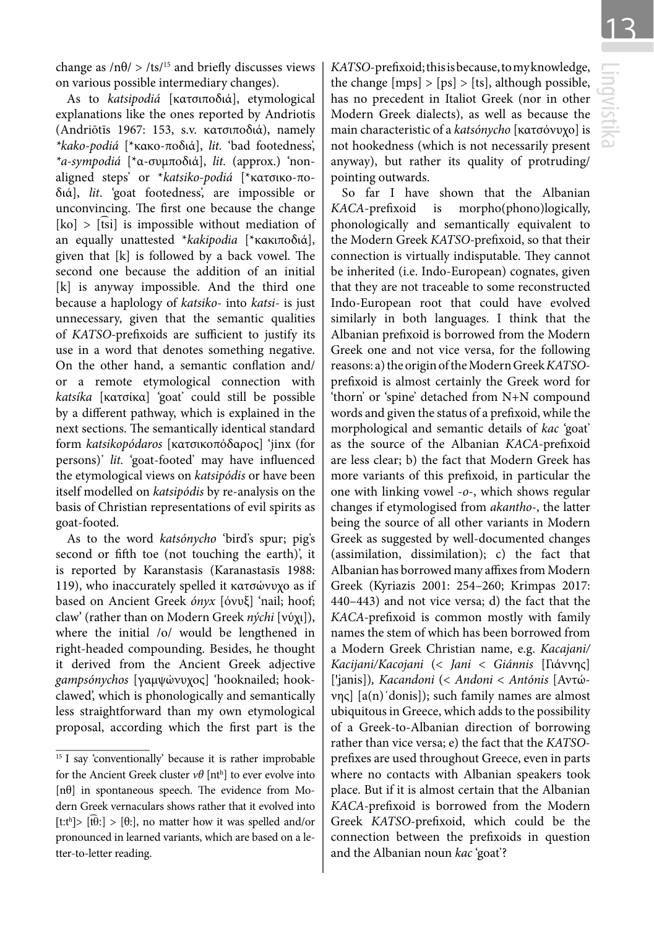change as  $/n\theta$  > /ts/<sup>15</sup> and briefly discusses views on various possible intermediary changes).

As to *katsipodiá* [κατσιποδιά], etymological explanations like the ones reported by Andriotis (Andriōtīs 1967: 153, s.v. κατσιποδιά), namely *\*kako-podiá* [\*κακο-ποδιά], *lit.* 'bad footedness', *\*a-sympodiá* [\*α-συμποδιά], *lit.* (approx.) 'nonaligned steps' or \**katsiko-podiá* [\*κατσικο-ποδιά], *lit*. 'goat footedness', are impossible or unconvincing. The first one because the change  $[k_0] > [tsi]$  is impossible without mediation of an equally unattested \**kakipodia* [\*κακιποδιά], given that [k] is followed by a back vowel. The second one because the addition of an initial [k] is anyway impossible. And the third one because a haplology of *katsiko-* into *katsi-* is just unnecessary, given that the semantic qualities of *KATSO-*prefixoids are sufficient to justify its use in a word that denotes something negative. On the other hand, a semantic conflation and/ or a remote etymological connection with *katsíka* [κατσίκα] 'goat' could still be possible by a different pathway, which is explained in the next sections. The semantically identical standard form *katsikopódaros* [κατσικοπόδαρος] 'jinx (for persons)' *lit.* 'goat-footed' may have influenced the etymological views on *katsipódis* or have been itself modelled on *katsipódis* by re-analysis on the basis of Christian representations of evil spirits as goat-footed.

As to the word *katsónycho* 'bird's spur; pig's second or fifth toe (not touching the earth)', it is reported by Karanstasis (Karanastasīs 1988: 119), who inaccurately spelled it κατσώνυχο as if based on Ancient Greek *ónyx* [όνυξ] 'nail; hoof; claw' (rather than on Modern Greek *nýchi* [νύχι]), where the initial /o/ would be lengthened in right-headed compounding. Besides, he thought it derived from the Ancient Greek adjective *gampsónychos* [γαμψώνυχος] 'hooknailed; hookclawed', which is phonologically and semantically less straightforward than my own etymological proposal, according which the first part is the *KATSO*-prefixoid; this is because, to my knowledge, the change  $[mps] > [ps] > [ts]$ , although possible, has no precedent in Italiot Greek (nor in other Modern Greek dialects), as well as because the main characteristic of a *katsónycho* [κατσόνυχο] is not hookedness (which is not necessarily present anyway), but rather its quality of protruding/ pointing outwards.

So far I have shown that the Albanian *KACA*-prefixoid is morpho(phono)logically, phonologically and semantically equivalent to the Modern Greek *KATSO-*prefixoid, so that their connection is virtually indisputable. They cannot be inherited (i.e. Indo-European) cognates, given that they are not traceable to some reconstructed Indo-European root that could have evolved similarly in both languages. I think that the Albanian prefixoid is borrowed from the Modern Greek one and not vice versa, for the following reasons: a) the origin of the Modern Greek *KATSO*prefixoid is almost certainly the Greek word for 'thorn' or 'spine' detached from N+N compound words and given the status of a prefixoid, while the morphological and semantic details of *kac* 'goat' as the source of the Albanian *KACA-*prefixoid are less clear; b) the fact that Modern Greek has more variants of this prefixoid, in particular the one with linking vowel -*o*-, which shows regular changes if etymologised from *akantho-*, the latter being the source of all other variants in Modern Greek as suggested by well-documented changes (assimilation, dissimilation); c) the fact that Albanian has borrowed many affixes from Modern Greek (Kyriazis 2001: 254–260; Krimpas 2017: 440–443) and not vice versa; d) the fact that the *KACA-*prefixoid is common mostly with family names the stem of which has been borrowed from a Modern Greek Christian name, e.g. *Kacajani/ Kacijani/Kacojani* (< *Jani* < *Giánnis* [Γιάννης] [ꞌʝanis])*, Kacandoni* (< *Andoni* < *Antónis* [Αντώνης] [a(n)΄donis]); such family names are almost ubiquitous in Greece, which adds to the possibility of a Greek-to-Albanian direction of borrowing rather than vice versa; e) the fact that the *KATSO*prefixes are used throughout Greece, even in parts where no contacts with Albanian speakers took place. But if it is almost certain that the Albanian *KACA-*prefixoid is borrowed from the Modern Greek *KATSO*-prefixoid, which could be the connection between the prefixoids in question and the Albanian noun *kac* 'goat'?

<sup>&</sup>lt;sup>15</sup> I say 'conventionally' because it is rather improbable for the Ancient Greek cluster *νθ* [nth ] to ever evolve into [nθ] in spontaneous speech. The evidence from Modern Greek vernaculars shows rather that it evolved into [t:t<sup>h</sup>]> [tt͡θ:] > [θ:], no matter how it was spelled and/or pronounced in learned variants, which are based on a letter-to-letter reading.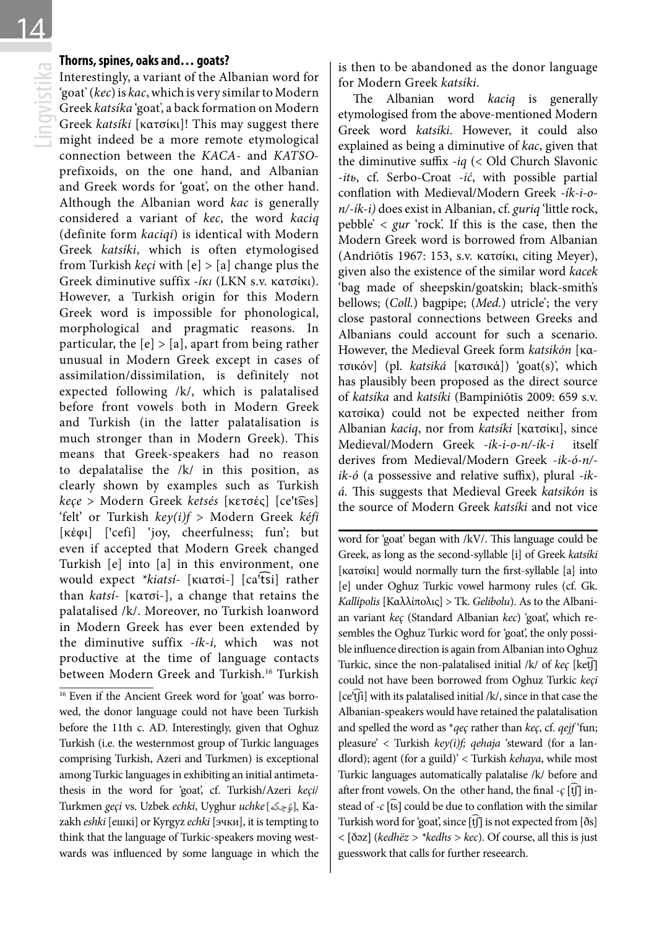**Thorns, spines, oaks and... goats?**<br>Interestingly, a variant of the Al<br>'goat' (kec) is kac, which is very si<br>Greek katsika 'goat', a back form:<br>Greek katsiki [κατσίκι]! This m<br>might indeed be a more remo Interestingly, a variant of the Albanian word for 'goat' (*kec*) is *kac*, which is very similar to Modern Greek *katsíka* 'goat', a back formation on Modern Greek *katsíki* [κατσίκι]! This may suggest there might indeed be a more remote etymological connection between the *KACA*- and *KATSO*prefixoids, on the one hand, and Albanian and Greek words for 'goat', on the other hand. Although the Albanian word *kac* is generally considered a variant of *kec*, the word *kaciq*  (definite form *kaciqi*) is identical with Modern Greek *katsíki*, which is often etymologised from Turkish *keçi* with [e] > [a] change plus the Greek diminutive suffix *-ίκι* (LKN s.v. κατσίκι). However, a Turkish origin for this Modern Greek word is impossible for phonological, morphological and pragmatic reasons. In particular, the  $[e] > [a]$ , apart from being rather unusual in Modern Greek except in cases of assimilation/dissimilation, is definitely not expected following /k/, which is palatalised before front vowels both in Modern Greek and Turkish (in the latter palatalisation is much stronger than in Modern Greek). This means that Greek-speakers had no reason to depalatalise the /k/ in this position, as clearly shown by examples such as Turkish *keçe* > Modern Greek *ketsés* [κετσές] [ceꞌt͡ses] 'felt' or Turkish *key(i)f* > Modern Greek *kéfi* [κέφι] ['cefi] 'joy, cheerfulness; fun'; but even if accepted that Modern Greek changed Turkish [e] into [a] in this environment, one would expect *\*kiatsi*- [κιατσί-] [ca<sup>i</sup>tsi] rather than *katsí-* [κατσί-], a change that retains the palatalised /k/. Moreover, no Turkish loanword in Modern Greek has ever been extended by the diminutive suffix *-ík-i,* which was not productive at the time of language contacts between Modern Greek and Turkish.<sup>16</sup> Turkish

<sup>16</sup> Even if the Ancient Greek word for 'goat' was borrowed, the donor language could not have been Turkish before the 11th c. AD. Interestingly, given that Oghuz Turkish (i.e. the westernmost group of Turkic languages comprising Turkish, Azeri and Turkmen) is exceptional among Turkic languages in exhibiting an initial antimetathesis in the word for 'goat', cf. Turkish/Azeri *keçi*/ Turkmen *geçi* vs. Uzbek *echki*, Uyghur *uchke* [رَوَّجِكُمْ], Kazakh *eshki* [ешкі] or Kyrgyz *echki* [эчки], it is tempting to think that the language of Turkic-speakers moving westwards was influenced by some language in which the is then to be abandoned as the donor language for Modern Greek *katsíki*.

The Albanian word *kaciq* is generally etymologised from the above-mentioned Modern Greek word *katsíki*. However, it could also explained as being a diminutive of *kac*, given that the diminutive suffix *-iq* (< Old Church Slavonic -*itь*, cf. Serbo-Croat -*ić*, with possible partial conflation with Medieval/Modern Greek *-ík-i-on/-ík-i)* does exist in Albanian, cf. *guriq* 'little rock, pebble' < *gur* 'rock'. If this is the case, then the Modern Greek word is borrowed from Albanian (Andriōtīs 1967: 153, s.v. κατσίκι, citing Meyer), given also the existence of the similar word *kacek*  'bag made of sheepskin/goatskin; black-smith's bellows; (*Coll.*) bagpipe; (*Med.*) utricle'; the very close pastoral connections between Greeks and Albanians could account for such a scenario. However, the Medieval Greek form *katsikón* [κατσικόν] (pl. *katsiká* [κατσικά]) 'goat(s)', which has plausibly been proposed as the direct source of *katsíka* and *katsíki* (Bampiniōtīs 2009: 659 s.v. κατσίκα) could not be expected neither from Albanian *kaciq*, nor from *katsíki* [κατσίκι], since Medieval/Modern Greek *-ík-i-o-n/-ík-i* itself derives from Medieval/Modern Greek *-ik-ó-n/ ik-ó* (a possessive and relative suffix), plural *-iká.* This suggests that Medieval Greek *katsikón* is the source of Modern Greek *katsíki* and not vice

word for 'goat' began with /kV/. This language could be Greek, as long as the second-syllable [i] of Greek *katsíki*  [κατσίκι] would normally turn the first-syllable [a] into [e] under Oghuz Turkic vowel harmony rules (cf. Gk. *Kallípolis* [Καλλίπολις] > Tk. *Gelibolu*). As to the Albanian variant *keç* (Standard Albanian *kec*) 'goat', which resembles the Oghuz Turkic word for 'goat', the only possible influence direction is again from Albanian into Oghuz Turkic, since the non-palatalised initial /k/ of *keç* [ketf] could not have been borrowed from Oghuz Turkic *keçi*   $[{\rm ce}^{\rm t}{\rm f}{\rm i}]$  with its palatalised initial /k/, since in that case the Albanian-speakers would have retained the palatalisation and spelled the word as \**qeç* rather than *keç*, cf. *qejf* 'fun; pleasure' < Turkish *key(i)f; qehaja* 'steward (for a landlord); agent (for a guild)' < Turkish *kehaya*, while most Turkic languages automatically palatalise /k/ before and after front vowels. On the other hand, the final  $-\varsigma$  [tʃ] instead of *-c* [t͡s] could be due to conflation with the similar Turkish word for 'goat', since [t͡ʃ] is not expected from [ðs] < [ðəz] (*kedhëz > \*kedhs > kec*). Of course, all this is just guesswork that calls for further reseearch.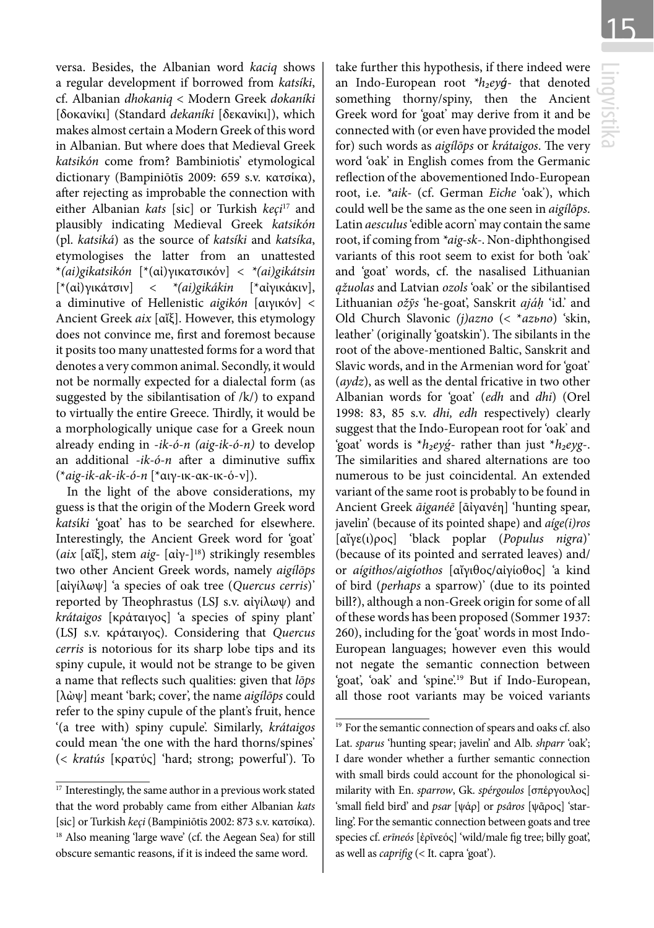Lingvistika

versa. Besides, the Albanian word *kaciq* shows a regular development if borrowed from *katsíki*, cf. Albanian *dhokaniq* < Modern Greek *dokaníki*  [δοκανίκι] (Standard *dekaníki* [δεκανίκι]), which makes almost certain a Modern Greek of this word in Albanian. But where does that Medieval Greek *katsikón* come from? Bambiniotis' etymological dictionary (Bampiniōtīs 2009: 659 s.v. κατσίκα), after rejecting as improbable the connection with either Albanian *kats* [sic] or Turkish *keçi*<sup>17</sup> and plausibly indicating Medieval Greek *katsikón*  (pl. *katsiká*) as the source of *katsíki* and *katsíka*, etymologises the latter from an unattested \**(ai)gikatsikón* [\*(αἰ)γικατσικόν] < *\*(ai)gikátsin*  [\*(αἰ)γικάτσιν] < *\*(ai)gikákin* [\*αἰγικάκιν], a diminutive of Hellenistic *aigikón* [αιγικόν] < Ancient Greek *aix* [αἴξ]. However, this etymology does not convince me, first and foremost because it posits too many unattested forms for a word that denotes a very common animal. Secondly, it would not be normally expected for a dialectal form (as suggested by the sibilantisation of  $/k/$ ) to expand to virtually the entire Greece. Thirdly, it would be a morphologically unique case for a Greek noun already ending in -*ik-ó-n (aig-ik-ó-n)* to develop an additional *-ik-ó-n* after a diminutive suffix (\**aig-ik-ak-ik-ó-n* [\*αιγ-ικ-ακ-ικ-ό-ν]).

In the light of the above considerations, my guess is that the origin of the Modern Greek word *kats*í*ki* 'goat' has to be searched for elsewhere. Interestingly, the Ancient Greek word for 'goat' (*aix* [αἴξ], stem *aig*- [αἰγ-]18) strikingly resembles two other Ancient Greek words, namely *aigílōps*  [αἰγίλωψ] 'a species of oak tree (*Quercus cerris*)' reported by Theophrastus (LSJ s.v. αἰγίλωψ) and *krátaigos* [κράταιγος] 'a species of spiny plant' (LSJ s.v. κράταιγος). Considering that *Quercus cerris* is notorious for its sharp lobe tips and its spiny cupule, it would not be strange to be given a name that reflects such qualities: given that *lōps*  [λὼψ] meant 'bark; cover', the name *aigílōps* could refer to the spiny cupule of the plant's fruit, hence '(a tree with) spiny cupule'. Similarly, *krátaigos* could mean 'the one with the hard thorns/spines' (< *kratús* [κρατύς] 'hard; strong; powerful'). To

take further this hypothesis, if there indeed were an Indo-European root *\*h₂eyǵ*- that denoted something thorny/spiny, then the Ancient Greek word for 'goat' may derive from it and be connected with (or even have provided the model for) such words as *aigílōps* or *krátaigos*. The very word 'oak' in English comes from the Germanic reflection of the abovementioned Indo-European root, i.e. *\*aik-* (cf. German *Eiche* 'oak'), which could well be the same as the one seen in *aigílōps*. Latin *aesculus* 'edible acorn' may contain the same root, if coming from *\*aig-sk-*. Non-diphthongised variants of this root seem to exist for both 'oak' and 'goat' words, cf. the nasalised Lithuanian *ąžuolas* and Latvian *ozols* 'oak' or the sibilantised Lithuanian *ožỹs* 'he-goat', Sanskrit *ajáḥ* 'id.' and Old Church Slavonic *(j)azno* (< \**azьno*) 'skin, leather' (originally 'goatskin'). The sibilants in the root of the above-mentioned Baltic, Sanskrit and Slavic words, and in the Armenian word for 'goat' (*aydz*), as well as the dental fricative in two other Albanian words for 'goat' (*edh* and *dhi*) (Orel 1998: 83, 85 s.v. *dhi, edh* respectively) clearly suggest that the Indo-European root for 'oak' and 'goat' words is \**h₂eyǵ*- rather than just \**h₂eyg*-. The similarities and shared alternations are too numerous to be just coincidental. An extended variant of the same root is probably to be found in Ancient Greek *āiganéē* [ᾱἰγανέη] 'hunting spear, javelin' (because of its pointed shape) and *aíge(i)ros* [αἴγε(ι)ρος] 'black poplar (*Populus nigra*)' (because of its pointed and serrated leaves) and/ or *aígithos/aigíothos* [αἴγιθος/αἰγίοθος] 'a kind of bird (*perhaps* a sparrow)' (due to its pointed bill?), although a non-Greek origin for some of all of these words has been proposed (Sommer 1937: 260), including for the 'goat' words in most Indo-European languages; however even this would not negate the semantic connection between 'goat', 'oak' and 'spine'.19 But if Indo-European, all those root variants may be voiced variants

<sup>&</sup>lt;sup>17</sup> Interestingly, the same author in a previous work stated that the word probably came from either Albanian *kats*  [sic] or Turkish *keçi* (Bampiniōtīs 2002: 873 s.v. κατσίκα). <sup>18</sup> Also meaning 'large wave' (cf. the Aegean Sea) for still obscure semantic reasons, if it is indeed the same word.

<sup>&</sup>lt;sup>19</sup> For the semantic connection of spears and oaks cf. also Lat. *sparus* 'hunting spear; javelin' and Alb. *shparr* 'oak'; I dare wonder whether a further semantic connection with small birds could account for the phonological similarity with En. *sparrow*, Gk. *spérgoulos* [σπέργουλος] 'small field bird' and *psar* [ψάρ] or *psâros* [ψᾶρος] 'starling'. For the semantic connection between goats and tree species cf. erīneós [ἐρῖνεός] 'wild/male fig tree; billy goat', as well as *caprifig* (< It. capra 'goat').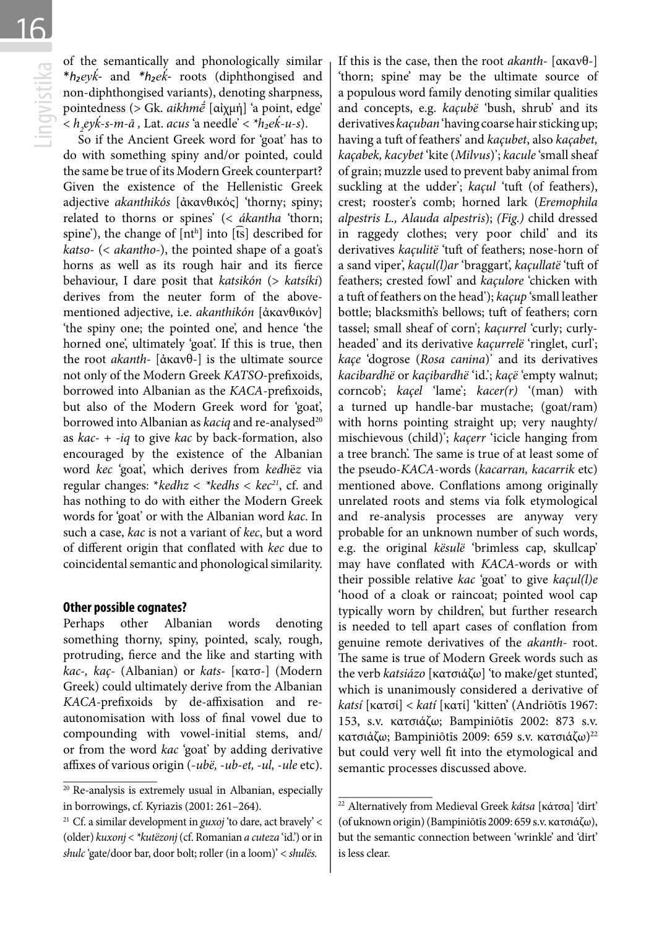of the semantically and phonologically similar<br>
\* $h_2eyk'$ - and \* $h_2ek'$ - roots (diphthongised and<br>
non-diphthongised variants), denoting sharpness,<br>
pointedness (> Gk. *aikhm* $\epsilon$  [αὐχμή] 'a point, edge'<br>
<  $h_2eyk-s-m-\bar{a}$ \**h₂eyḱ-* and *\*h₂eḱ-* roots (diphthongised and non-diphthongised variants), denoting sharpness, pointedness (> Gk. *aikhmḗ* [αἰχμή] 'a point, edge' < *h2 eyḱ-s-m-ā ,* Lat. *acus* 'a needle' < *\*h₂eḱ-u-s*).

So if the Ancient Greek word for 'goat' has to do with something spiny and/or pointed, could the same be true of its Modern Greek counterpart? Given the existence of the Hellenistic Greek adjective *akanthikós* [ἀκανθικός] 'thorny; spiny; related to thorns or spines' (< *ákantha* 'thorn; spine'), the change of [nth] into [ts] described for *katso-* (< *akantho-*), the pointed shape of a goat's horns as well as its rough hair and its fierce behaviour, I dare posit that *katsikón* (> *katsíki*) derives from the neuter form of the abovementioned adjective, i.e. *akanthikón* [ἀκανθικόν] 'the spiny one; the pointed one', and hence 'the horned one', ultimately 'goat'. If this is true, then the root *akanth-* [ἀκανθ-] is the ultimate source not only of the Modern Greek *KATSO*-prefixoids, borrowed into Albanian as the *KACA*-prefixoids, but also of the Modern Greek word for 'goat', borrowed into Albanian as *kaciq* and re-analysed<sup>20</sup> as *kac-* + *-iq* to give *kac* by back-formation, also encouraged by the existence of the Albanian word *kec* 'goat', which derives from *kedh*ë*z* via regular changes: \**kedhz < \*kedhs < kec21*, cf. and has nothing to do with either the Modern Greek words for 'goat' or with the Albanian word *kac*. In such a case, *kac* is not a variant of *kec*, but a word of different origin that conflated with *kec* due to coincidental semantic and phonological similarity.

#### **Other possible cognates?**

Perhaps other Albanian words denoting something thorny, spiny, pointed, scaly, rough, protruding, fierce and the like and starting with *kac-, kaç-* (Albanian) or *kats-* [κατσ-] (Modern Greek) could ultimately derive from the Albanian *KACA-*prefixoids by de-affixisation and reautonomisation with loss of final vowel due to compounding with vowel-initial stems, and/ or from the word *kac* 'goat' by adding derivative affixes of various origin (-*ubë,* -*ub-et, -ul,* -*ule* etc).

If this is the case, then the root *akanth-* [ακανθ-] 'thorn; spine' may be the ultimate source of a populous word family denoting similar qualities and concepts, e.g. *kaçubë* 'bush, shrub' and its derivatives *kaçuban* 'having coarse hair sticking up; having a tuft of feathers' and *kaçubet*, also *kaçabet, kaçabek, kacybet* 'kite (*Milvus*)'; *kacule* 'small sheaf of grain; muzzle used to prevent baby animal from suckling at the udder'; *kaçul* 'tuft (of feathers), crest; rooster's comb; horned lark (*Eremophila alpestris L., Alauda alpestris*); *(Fig.)* child dressed in raggedy clothes; very poor child' and its derivatives *kaçulitë* 'tuft of feathers; nose-horn of a sand viper', *kaçul(l)ar* 'braggart', *kaçullatë* 'tuft of feathers; crested fowl' and *kaçulore* 'chicken with a tuft of feathers on the head'); *kaçup* 'small leather bottle; blacksmith's bellows; tuft of feathers; corn tassel; small sheaf of corn'; *kaçurrel* 'curly; curlyheaded' and its derivative *kaçurrelë* 'ringlet, curl'; *kaçe* 'dogrose (*Rosa canina*)' and its derivatives *kacibardhë* or *kaçibardhë* 'id.'; *kaçë* 'empty walnut; corncob'; *kaçel* 'lame'; *kacer(r)* '(man) with a turned up handle-bar mustache; (goat/ram) with horns pointing straight up; very naughty/ mischievous (child)'; *kaçerr* 'icicle hanging from a tree branch'. The same is true of at least some of the pseudo-*KACA*-words (*kacarran, kacarrik* etc) mentioned above. Conflations among originally unrelated roots and stems via folk etymological and re-analysis processes are anyway very probable for an unknown number of such words, e.g. the original *kësulë* 'brimless cap, skullcap' may have conflated with *KACA-*words or with their possible relative *kac* 'goat' to give *kaçul(l)e* 'hood of a cloak or raincoat; pointed wool cap typically worn by children', but further research is needed to tell apart cases of conflation from genuine remote derivatives of the *akanth-* root. The same is true of Modern Greek words such as the verb *katsiázo* [κατσιάζω] 'to make/get stunted', which is unanimously considered a derivative of *katsí* [κατσί] < *katí* [κατί] 'kitten' (Andriōtīs 1967: 153, s.v. κατσιάζω; Bampiniōtīs 2002: 873 s.v. κατσιάζω; Bampiniōtīs 2009: 659 s.v. κατσιάζω)<sup>22</sup> but could very well fit into the etymological and semantic processes discussed above.

<sup>20</sup> Re-analysis is extremely usual in Albanian, especially in borrowings, cf. Kyriazis (2001: 261–264).

<sup>21</sup> Cf. a similar development in *guxoj* 'to dare, act bravely' < (older) *kuxonj* < *\*kutëzonj* (cf. Romanian *a cuteza* 'id.') or in *shulc* 'gate/door bar, door bolt; roller (in a loom)' < *shulës.*

<sup>22</sup> Alternatively from Medieval Greek *kátsa* [κάτσα] 'dirt' (of uknown origin) (Bampiniōtīs 2009: 659 s.v. κατσιάζω), but the semantic connection between 'wrinkle' and 'dirt' is less clear.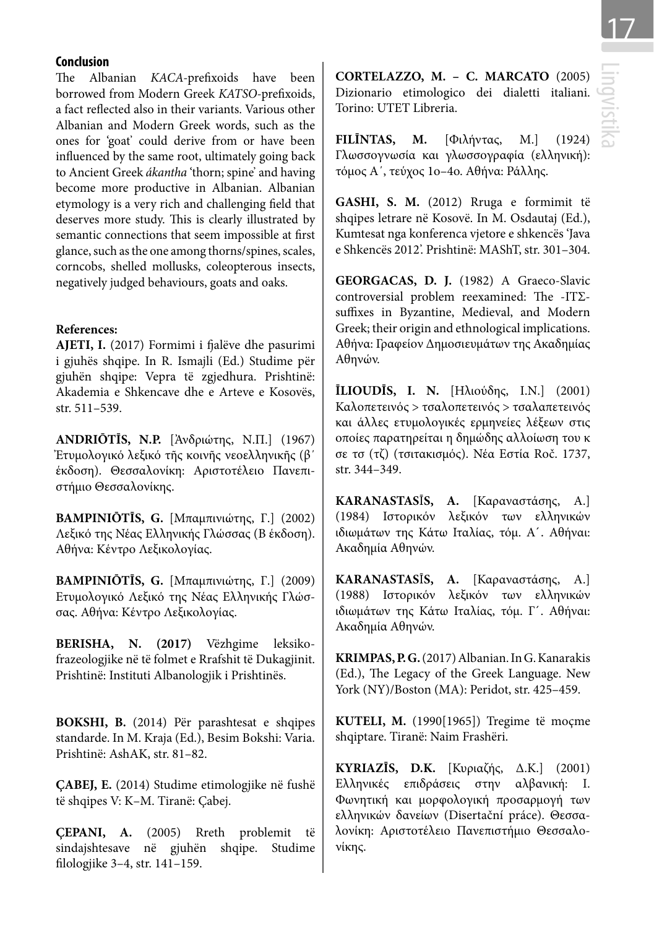### **Conclusion**

The Albanian *KACA-*prefixoids have been borrowed from Modern Greek *KATSO-*prefixoids, a fact reflected also in their variants. Various other Albanian and Modern Greek words, such as the ones for 'goat' could derive from or have been influenced by the same root, ultimately going back to Ancient Greek *ákantha* 'thorn; spine' and having become more productive in Albanian. Albanian etymology is a very rich and challenging field that deserves more study. This is clearly illustrated by semantic connections that seem impossible at first glance, such as the one among thorns/spines, scales, corncobs, shelled mollusks, coleopterous insects, negatively judged behaviours, goats and oaks.

#### **References:**

**AJETI, I.** (2017) Formimi i fjalëve dhe pasurimi i gjuhës shqipe. In R. Ismajli (Ed.) Studime për gjuhën shqipe: Vepra të zgjedhura. Prishtinë: Akademia e Shkencave dhe e Arteve e Kosovës, str. 511–539.

**ANDRIŌTĪS, N.P.** [Ἀνδριώτης, Ν.Π.] (1967) Ἐτυμολογικό λεξικό τῆς κοινῆς νεοελληνικῆς (β΄ έκδοση). Θεσσαλονίκη: Αριστοτέλειο Πανεπιστήμιο Θεσσαλονίκης.

**BAMPINIŌTĪS, G.** [Μπαμπινιώτης, Γ.] (2002) Λεξικό της Νέας Ελληνικής Γλώσσας (Β έκδοση). Αθήνα: Κέντρο Λεξικολογίας.

**BAMPINIŌTĪS, G.** [Μπαμπινιώτης, Γ.] (2009) Ετυμολογικό Λεξικό της Νέας Ελληνικής Γλώσσας. Αθήνα: Κέντρο Λεξικολογίας.

**BERISHA, N. (2017)** Vëzhgime leksikofrazeologjike në të folmet e Rrafshit të Dukagjinit. Prishtinë: Instituti Albanologjik i Prishtinës.

**BOKSHI, B.** (2014) Për parashtesat e shqipes standarde. In M. Kraja (Ed.), Besim Bokshi: Varia. Prishtinë: AshAK, str. 81–82.

**ÇABEJ, E.** (2014) Studime etimologjike në fushë të shqipes V: K–M. Tiranë: Çabej.

**ÇEPANI, A.** (2005) Rreth problemit të sindajshtesave në gjuhën shqipe. Studime filologjike 3–4, str. 141–159.

**CORTELAZZO, M. – C. MARCATO** (2005) Dizionario etimologico dei dialetti italiani. Torino: UTET Libreria.

**FILĪNTAS, M.** [Φιλήντας, Μ.] (1924) Γλωσσογνωσία και γλωσσογραφία (ελληνική): τόμος Α΄, τεύχος 1ο–4ο. Αθήνα: Ράλλης.

**GASHI, S. M.** (2012) Rruga e formimit të shqipes letrare në Kosovë. In M. Osdautaj (Ed.), Kumtesat nga konferenca vjetore e shkencës 'Java e Shkencës 2012'. Prishtinë: MAShT, str. 301–304.

**GEORGACAS, D. J.** (1982) A Graeco-Slavic controversial problem reexamined: The -ΙΤΣsuffixes in Byzantine, Medieval, and Modern Greek; their origin and ethnological implications. Αθήνα: Γραφείον Δημοσιευμάτων της Ακαδημίας Αθηνών.

**ĪLIOUDĪS, I. N.** [Ηλιούδης, Ι.Ν.] (2001) Καλοπετεινός > τσαλοπετεινός > τσαλαπετεινός και άλλες ετυμολογικές ερμηνείες λέξεων στις οποίες παρατηρείται η δημώδης αλλοίωση του κ σε τσ (τζ) (τσιτακισμός). Νέα Εστία Roč. 1737, str. 344–349.

**KARANASTAS**Ī**S, A.** [Καραναστάσης, Α.] (1984) Ιστορικόν λεξικόν των ελληνικών ιδιωμάτων της Κάτω Ιταλίας, τόμ. Α΄. Αθήναι: Ακαδημία Αθηνών.

**KARANASTAS**Ī**S, A.** [Καραναστάσης, Α.] (1988) Ιστορικόν λεξικόν των ελληνικών ιδιωμάτων της Κάτω Ιταλίας, τόμ. Γ΄. Αθήναι: Ακαδημία Αθηνών.

**KRIMPAS, P. G.** (2017) Albanian. In G. Kanarakis (Ed.), The Legacy of the Greek Language. New York (NY)/Boston (MA): Peridot, str. 425–459.

**KUTELI, M.** (1990[1965]) Tregime të moçme shqiptare. Tiranë: Naim Frashëri.

**KYRIAZĪS, D.K.** [Κυριαζής, Δ.Κ.] (2001) Ελληνικές επιδράσεις στην αλβανική: Ι. Φωνητική και μορφολογική προσαρμογή των ελληνικών δανείων (Disertační práce). Θεσσαλονίκη: Αριστοτέλειο Πανεπιστήμιο Θεσσαλονίκης.